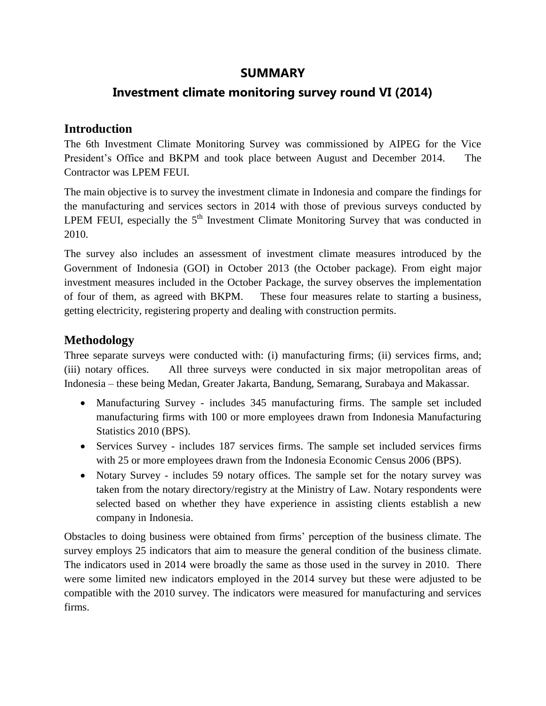## **SUMMARY**

## **Investment climate monitoring survey round VI (2014)**

## **Introduction**

The 6th Investment Climate Monitoring Survey was commissioned by AIPEG for the Vice President's Office and BKPM and took place between August and December 2014. The Contractor was LPEM FEUI.

The main objective is to survey the investment climate in Indonesia and compare the findings for the manufacturing and services sectors in 2014 with those of previous surveys conducted by LPEM FEUI, especially the  $5<sup>th</sup>$  Investment Climate Monitoring Survey that was conducted in 2010.

The survey also includes an assessment of investment climate measures introduced by the Government of Indonesia (GOI) in October 2013 (the October package). From eight major investment measures included in the October Package, the survey observes the implementation of four of them, as agreed with BKPM. These four measures relate to starting a business, getting electricity, registering property and dealing with construction permits.

## **Methodology**

Three separate surveys were conducted with: (i) manufacturing firms; (ii) services firms, and; (iii) notary offices. All three surveys were conducted in six major metropolitan areas of Indonesia – these being Medan, Greater Jakarta, Bandung, Semarang, Surabaya and Makassar.

- Manufacturing Survey includes 345 manufacturing firms. The sample set included manufacturing firms with 100 or more employees drawn from Indonesia Manufacturing Statistics 2010 (BPS).
- Services Survey includes 187 services firms. The sample set included services firms with 25 or more employees drawn from the Indonesia Economic Census 2006 (BPS).
- Notary Survey includes 59 notary offices. The sample set for the notary survey was taken from the notary directory/registry at the Ministry of Law. Notary respondents were selected based on whether they have experience in assisting clients establish a new company in Indonesia.

Obstacles to doing business were obtained from firms' perception of the business climate. The survey employs 25 indicators that aim to measure the general condition of the business climate. The indicators used in 2014 were broadly the same as those used in the survey in 2010. There were some limited new indicators employed in the 2014 survey but these were adjusted to be compatible with the 2010 survey. The indicators were measured for manufacturing and services firms.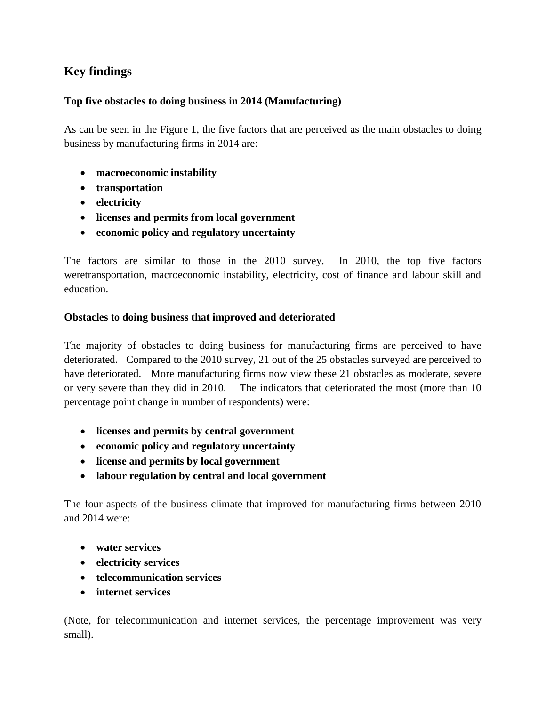## **Key findings**

### **Top five obstacles to doing business in 2014 (Manufacturing)**

As can be seen in the Figure 1, the five factors that are perceived as the main obstacles to doing business by manufacturing firms in 2014 are:

- **macroeconomic instability**
- **transportation**
- **electricity**
- **licenses and permits from local government**
- **economic policy and regulatory uncertainty**

The factors are similar to those in the 2010 survey. In 2010, the top five factors weretransportation, macroeconomic instability, electricity, cost of finance and labour skill and education.

#### **Obstacles to doing business that improved and deteriorated**

The majority of obstacles to doing business for manufacturing firms are perceived to have deteriorated. Compared to the 2010 survey, 21 out of the 25 obstacles surveyed are perceived to have deteriorated. More manufacturing firms now view these 21 obstacles as moderate, severe or very severe than they did in 2010. The indicators that deteriorated the most (more than 10 percentage point change in number of respondents) were:

- **licenses and permits by central government**
- **economic policy and regulatory uncertainty**
- **license and permits by local government**
- **labour regulation by central and local government**

The four aspects of the business climate that improved for manufacturing firms between 2010 and 2014 were:

- **water services**
- **electricity services**
- **telecommunication services**
- **internet services**

(Note, for telecommunication and internet services, the percentage improvement was very small).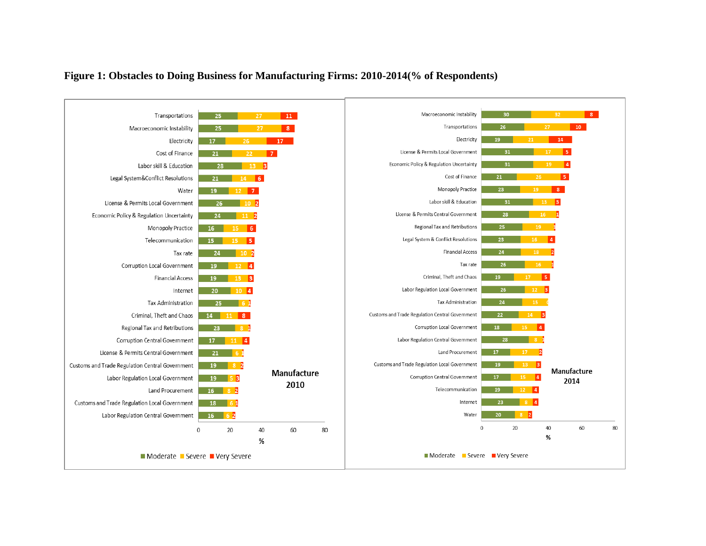

#### **Figure 1: Obstacles to Doing Business for Manufacturing Firms: 2010-2014(% of Respondents)**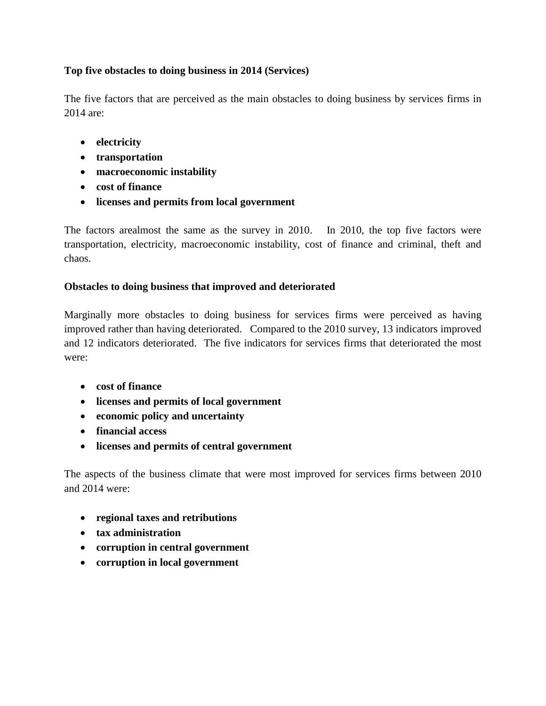#### **Top five obstacles to doing business in 2014 (Services)**

The five factors that are perceived as the main obstacles to doing business by services firms in 2014 are:

- **electricity**
- **transportation**
- **macroeconomic instability**
- **cost of finance**
- **licenses and permits from local government**

The factors arealmost the same as the survey in 2010. In 2010, the top five factors were transportation, electricity, macroeconomic instability, cost of finance and criminal, theft and chaos.

#### **Obstacles to doing business that improved and deteriorated**

Marginally more obstacles to doing business for services firms were perceived as having improved rather than having deteriorated. Compared to the 2010 survey, 13 indicators improved and 12 indicators deteriorated. The five indicators for services firms that deteriorated the most were:

- **cost of finance**
- **licenses and permits of local government**
- **economic policy and uncertainty**
- **financial access**
- **licenses and permits of central government**

The aspects of the business climate that were most improved for services firms between 2010 and 2014 were:

- **regional taxes and retributions**
- **tax administration**
- **corruption in central government**
- **corruption in local government**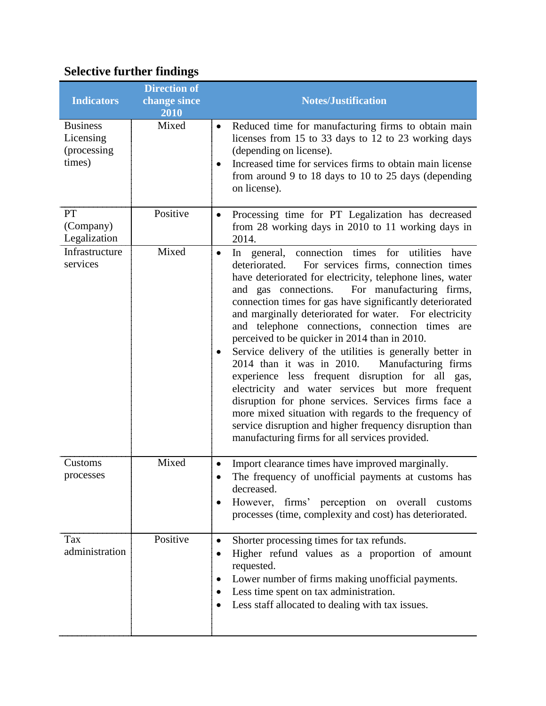# **Selective further findings**

| <b>Indicators</b>                                      | <b>Direction of</b><br>change since<br>2010 | <b>Notes/Justification</b>                                                                                                                                                                                                                                                                                                                                                                                                                                                                                                                                                                                                                                                                                                                                                                                                                                                                                                             |
|--------------------------------------------------------|---------------------------------------------|----------------------------------------------------------------------------------------------------------------------------------------------------------------------------------------------------------------------------------------------------------------------------------------------------------------------------------------------------------------------------------------------------------------------------------------------------------------------------------------------------------------------------------------------------------------------------------------------------------------------------------------------------------------------------------------------------------------------------------------------------------------------------------------------------------------------------------------------------------------------------------------------------------------------------------------|
| <b>Business</b><br>Licensing<br>(processing)<br>times) | Mixed                                       | Reduced time for manufacturing firms to obtain main<br>$\bullet$<br>licenses from 15 to 33 days to 12 to 23 working days<br>(depending on license).<br>Increased time for services firms to obtain main license<br>$\bullet$<br>from around 9 to 18 days to 10 to 25 days (depending<br>on license).                                                                                                                                                                                                                                                                                                                                                                                                                                                                                                                                                                                                                                   |
| <b>PT</b><br>(Company)<br>Legalization                 | Positive                                    | Processing time for PT Legalization has decreased<br>$\bullet$<br>from 28 working days in 2010 to 11 working days in<br>2014.                                                                                                                                                                                                                                                                                                                                                                                                                                                                                                                                                                                                                                                                                                                                                                                                          |
| Infrastructure<br>services                             | Mixed                                       | In general, connection times for<br>utilities<br>have<br>$\bullet$<br>For services firms, connection times<br>deteriorated.<br>have deteriorated for electricity, telephone lines, water<br>and gas connections. For manufacturing firms,<br>connection times for gas have significantly deteriorated<br>and marginally deteriorated for water. For electricity<br>and telephone connections, connection times are<br>perceived to be quicker in 2014 than in 2010.<br>Service delivery of the utilities is generally better in<br>$\bullet$<br>2014 than it was in 2010.<br>Manufacturing firms<br>experience less frequent disruption for all gas,<br>electricity and water services but more frequent<br>disruption for phone services. Services firms face a<br>more mixed situation with regards to the frequency of<br>service disruption and higher frequency disruption than<br>manufacturing firms for all services provided. |
| Customs<br>processes                                   | Mixed                                       | Import clearance times have improved marginally.<br>$\bullet$<br>The frequency of unofficial payments at customs has<br>decreased.<br>However, firms' perception on overall customs<br>$\bullet$<br>processes (time, complexity and cost) has deteriorated.                                                                                                                                                                                                                                                                                                                                                                                                                                                                                                                                                                                                                                                                            |
| Tax<br>administration                                  | Positive                                    | Shorter processing times for tax refunds.<br>$\bullet$<br>Higher refund values as a proportion of amount<br>$\bullet$<br>requested.<br>Lower number of firms making unofficial payments.<br>$\bullet$<br>Less time spent on tax administration.<br>Less staff allocated to dealing with tax issues.                                                                                                                                                                                                                                                                                                                                                                                                                                                                                                                                                                                                                                    |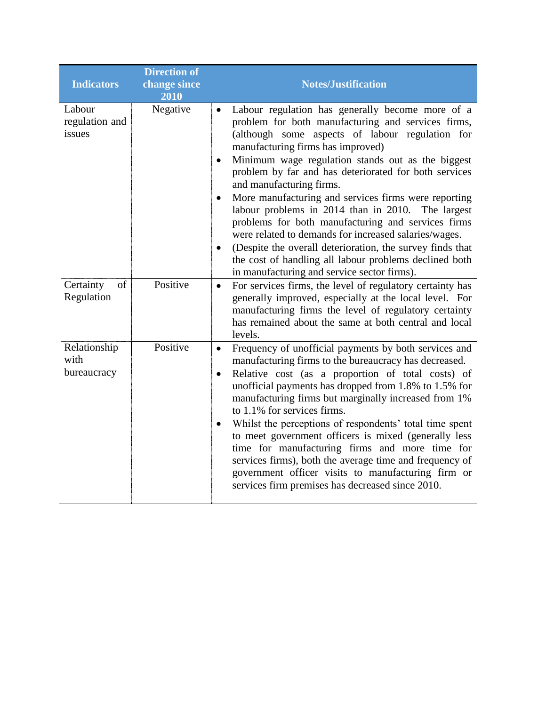| <b>Indicators</b>                   | <b>Direction of</b><br>change since<br>2010 | <b>Notes/Justification</b>                                                                                                                                                                                                                                                                                                                                                                                                                                                                                                                                                                                                                                                                                                                                                        |
|-------------------------------------|---------------------------------------------|-----------------------------------------------------------------------------------------------------------------------------------------------------------------------------------------------------------------------------------------------------------------------------------------------------------------------------------------------------------------------------------------------------------------------------------------------------------------------------------------------------------------------------------------------------------------------------------------------------------------------------------------------------------------------------------------------------------------------------------------------------------------------------------|
| Labour<br>regulation and<br>issues  | Negative                                    | Labour regulation has generally become more of a<br>$\bullet$<br>problem for both manufacturing and services firms,<br>(although some aspects of labour regulation for<br>manufacturing firms has improved)<br>Minimum wage regulation stands out as the biggest<br>$\bullet$<br>problem by far and has deteriorated for both services<br>and manufacturing firms.<br>More manufacturing and services firms were reporting<br>labour problems in 2014 than in 2010. The largest<br>problems for both manufacturing and services firms<br>were related to demands for increased salaries/wages.<br>(Despite the overall deterioration, the survey finds that<br>$\bullet$<br>the cost of handling all labour problems declined both<br>in manufacturing and service sector firms). |
| Certainty<br>of<br>Regulation       | Positive                                    | For services firms, the level of regulatory certainty has<br>$\bullet$<br>generally improved, especially at the local level. For<br>manufacturing firms the level of regulatory certainty<br>has remained about the same at both central and local<br>levels.                                                                                                                                                                                                                                                                                                                                                                                                                                                                                                                     |
| Relationship<br>with<br>bureaucracy | Positive                                    | Frequency of unofficial payments by both services and<br>$\bullet$<br>manufacturing firms to the bureaucracy has decreased.<br>Relative cost (as a proportion of total costs) of<br>$\bullet$<br>unofficial payments has dropped from 1.8% to 1.5% for<br>manufacturing firms but marginally increased from 1%<br>to 1.1% for services firms.<br>Whilst the perceptions of respondents' total time spent<br>$\bullet$<br>to meet government officers is mixed (generally less<br>time for manufacturing firms and more time for<br>services firms), both the average time and frequency of<br>government officer visits to manufacturing firm or<br>services firm premises has decreased since 2010.                                                                              |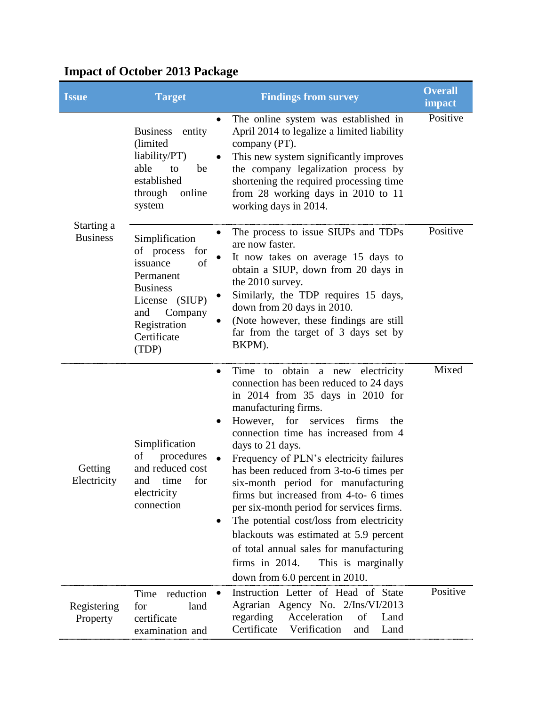|  |  |  |  | <b>Impact of October 2013 Package</b> |  |
|--|--|--|--|---------------------------------------|--|
|--|--|--|--|---------------------------------------|--|

| <b>Issue</b>                  | <b>Target</b>                                                                                                                                                     | <b>Findings from survey</b>                                                                                                                                                                                                                                                                                                                                                                                                                                                                                                                                                                                                                                                                                | <b>Overall</b><br>impact |
|-------------------------------|-------------------------------------------------------------------------------------------------------------------------------------------------------------------|------------------------------------------------------------------------------------------------------------------------------------------------------------------------------------------------------------------------------------------------------------------------------------------------------------------------------------------------------------------------------------------------------------------------------------------------------------------------------------------------------------------------------------------------------------------------------------------------------------------------------------------------------------------------------------------------------------|--------------------------|
| Starting a<br><b>Business</b> | <b>Business</b><br>entity<br>(limited<br>liability/PT)<br>able<br>to<br>be<br>established<br>through<br>online<br>system                                          | The online system was established in<br>$\bullet$<br>April 2014 to legalize a limited liability<br>company (PT).<br>This new system significantly improves<br>the company legalization process by<br>shortening the required processing time<br>from 28 working days in 2010 to 11<br>working days in 2014.                                                                                                                                                                                                                                                                                                                                                                                                | Positive                 |
|                               | Simplification<br>of process<br>for<br>issuance<br>of<br>Permanent<br><b>Business</b><br>License (SIUP)<br>Company<br>and<br>Registration<br>Certificate<br>(TDP) | The process to issue SIUPs and TDPs<br>$\bullet$<br>are now faster.<br>It now takes on average 15 days to<br>obtain a SIUP, down from 20 days in<br>the 2010 survey.<br>Similarly, the TDP requires 15 days,<br>down from 20 days in 2010.<br>(Note however, these findings are still<br>far from the target of 3 days set by<br>BKPM).                                                                                                                                                                                                                                                                                                                                                                    | Positive                 |
| Getting<br>Electricity        | Simplification<br>procedures<br>of<br>and reduced cost<br>for<br>time<br>and<br>electricity<br>connection                                                         | Time to obtain a new electricity<br>$\bullet$<br>connection has been reduced to 24 days<br>in 2014 from 35 days in 2010 for<br>manufacturing firms.<br>However,<br>for<br>services<br>firms<br>the<br>$\bullet$<br>connection time has increased from 4<br>days to 21 days.<br>Frequency of PLN's electricity failures<br>has been reduced from 3-to-6 times per<br>six-month period for manufacturing<br>firms but increased from 4-to- 6 times<br>per six-month period for services firms.<br>The potential cost/loss from electricity<br>blackouts was estimated at 5.9 percent<br>of total annual sales for manufacturing<br>firms in $2014$ .<br>This is marginally<br>down from 6.0 percent in 2010. | Mixed                    |
| Registering<br>Property       | reduction<br>Time<br>for<br>land<br>certificate<br>examination and                                                                                                | Instruction Letter of Head of State<br>Agrarian Agency No. 2/Ins/VI/2013<br>Acceleration<br>of<br>regarding<br>Land<br>Certificate<br>Verification<br>Land<br>and                                                                                                                                                                                                                                                                                                                                                                                                                                                                                                                                          | Positive                 |